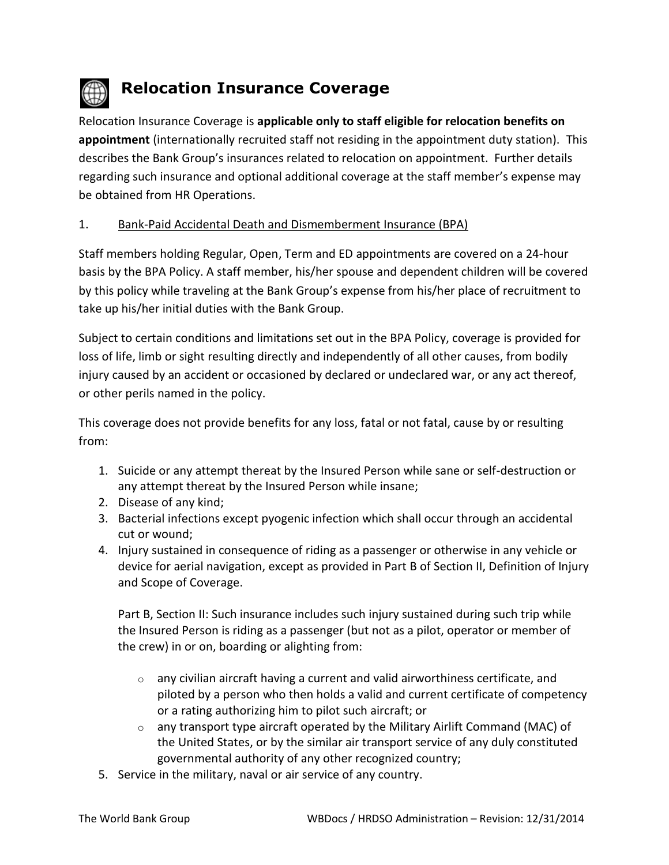

# **Relocation Insurance Coverage**

Relocation Insurance Coverage is **applicable only to staff eligible for relocation benefits on appointment** (internationally recruited staff not residing in the appointment duty station). This describes the Bank Group's insurances related to relocation on appointment. Further details regarding such insurance and optional additional coverage at the staff member's expense may be obtained from HR Operations.

# 1. Bank-Paid Accidental Death and Dismemberment Insurance (BPA)

Staff members holding Regular, Open, Term and ED appointments are covered on a 24-hour basis by the BPA Policy. A staff member, his/her spouse and dependent children will be covered by this policy while traveling at the Bank Group's expense from his/her place of recruitment to take up his/her initial duties with the Bank Group.

Subject to certain conditions and limitations set out in the BPA Policy, coverage is provided for loss of life, limb or sight resulting directly and independently of all other causes, from bodily injury caused by an accident or occasioned by declared or undeclared war, or any act thereof, or other perils named in the policy.

This coverage does not provide benefits for any loss, fatal or not fatal, cause by or resulting from:

- 1. Suicide or any attempt thereat by the Insured Person while sane or self-destruction or any attempt thereat by the Insured Person while insane;
- 2. Disease of any kind;
- 3. Bacterial infections except pyogenic infection which shall occur through an accidental cut or wound;
- 4. Injury sustained in consequence of riding as a passenger or otherwise in any vehicle or device for aerial navigation, except as provided in Part B of Section II, Definition of Injury and Scope of Coverage.

Part B, Section II: Such insurance includes such injury sustained during such trip while the Insured Person is riding as a passenger (but not as a pilot, operator or member of the crew) in or on, boarding or alighting from:

- $\circ$  any civilian aircraft having a current and valid airworthiness certificate, and piloted by a person who then holds a valid and current certificate of competency or a rating authorizing him to pilot such aircraft; or
- o any transport type aircraft operated by the Military Airlift Command (MAC) of the United States, or by the similar air transport service of any duly constituted governmental authority of any other recognized country;
- 5. Service in the military, naval or air service of any country.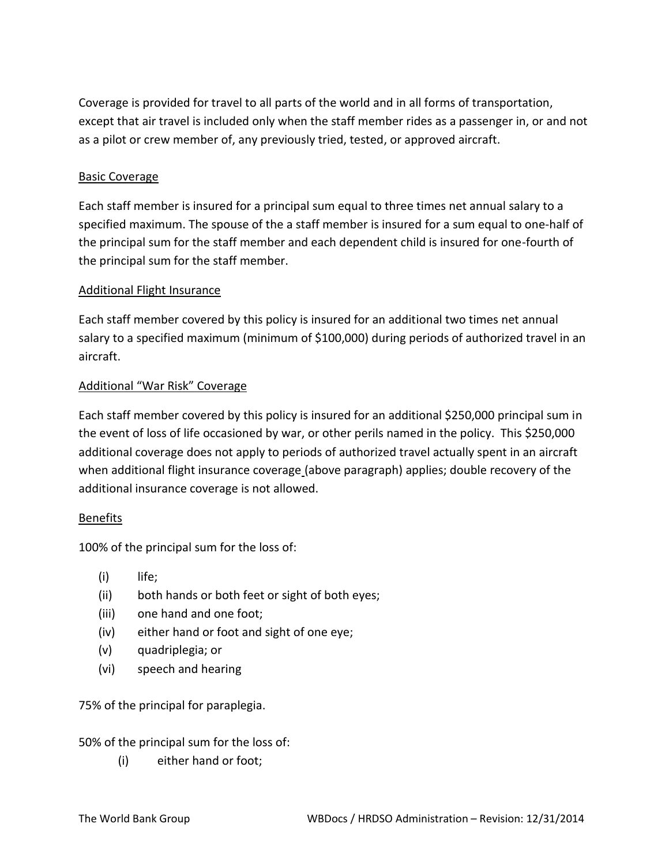Coverage is provided for travel to all parts of the world and in all forms of transportation, except that air travel is included only when the staff member rides as a passenger in, or and not as a pilot or crew member of, any previously tried, tested, or approved aircraft.

## Basic Coverage

Each staff member is insured for a principal sum equal to three times net annual salary to a specified maximum. The spouse of the a staff member is insured for a sum equal to one-half of the principal sum for the staff member and each dependent child is insured for one-fourth of the principal sum for the staff member.

## Additional Flight Insurance

Each staff member covered by this policy is insured for an additional two times net annual salary to a specified maximum (minimum of \$100,000) during periods of authorized travel in an aircraft.

#### Additional "War Risk" Coverage

Each staff member covered by this policy is insured for an additional \$250,000 principal sum in the event of loss of life occasioned by war, or other perils named in the policy. This \$250,000 additional coverage does not apply to periods of authorized travel actually spent in an aircraft when additional flight insurance coverage (above paragraph) applies; double recovery of the additional insurance coverage is not allowed.

## Benefits

100% of the principal sum for the loss of:

- (i) life;
- (ii) both hands or both feet or sight of both eyes;
- (iii) one hand and one foot;
- (iv) either hand or foot and sight of one eye;
- (v) quadriplegia; or
- (vi) speech and hearing

75% of the principal for paraplegia.

## 50% of the principal sum for the loss of:

(i) either hand or foot;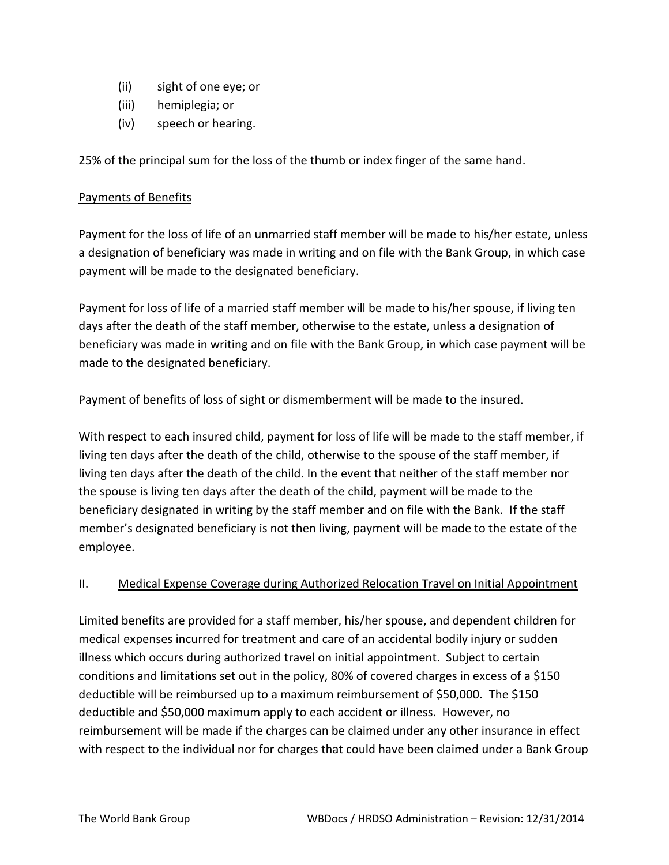- (ii) sight of one eye; or
- (iii) hemiplegia; or
- (iv) speech or hearing.

25% of the principal sum for the loss of the thumb or index finger of the same hand.

# Payments of Benefits

Payment for the loss of life of an unmarried staff member will be made to his/her estate, unless a designation of beneficiary was made in writing and on file with the Bank Group, in which case payment will be made to the designated beneficiary.

Payment for loss of life of a married staff member will be made to his/her spouse, if living ten days after the death of the staff member, otherwise to the estate, unless a designation of beneficiary was made in writing and on file with the Bank Group, in which case payment will be made to the designated beneficiary.

Payment of benefits of loss of sight or dismemberment will be made to the insured.

With respect to each insured child, payment for loss of life will be made to the staff member, if living ten days after the death of the child, otherwise to the spouse of the staff member, if living ten days after the death of the child. In the event that neither of the staff member nor the spouse is living ten days after the death of the child, payment will be made to the beneficiary designated in writing by the staff member and on file with the Bank. If the staff member's designated beneficiary is not then living, payment will be made to the estate of the employee.

# II. Medical Expense Coverage during Authorized Relocation Travel on Initial Appointment

Limited benefits are provided for a staff member, his/her spouse, and dependent children for medical expenses incurred for treatment and care of an accidental bodily injury or sudden illness which occurs during authorized travel on initial appointment. Subject to certain conditions and limitations set out in the policy, 80% of covered charges in excess of a \$150 deductible will be reimbursed up to a maximum reimbursement of \$50,000. The \$150 deductible and \$50,000 maximum apply to each accident or illness. However, no reimbursement will be made if the charges can be claimed under any other insurance in effect with respect to the individual nor for charges that could have been claimed under a Bank Group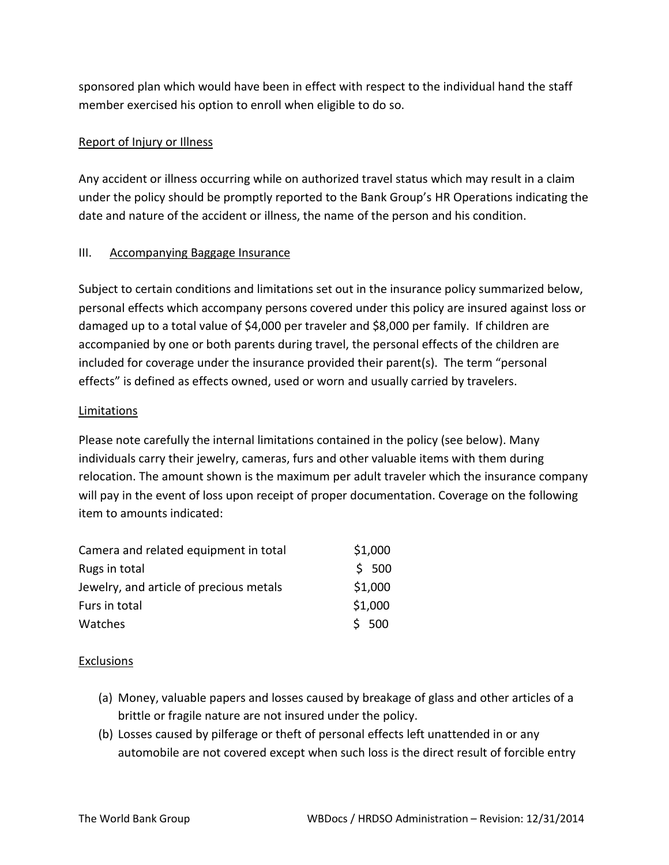sponsored plan which would have been in effect with respect to the individual hand the staff member exercised his option to enroll when eligible to do so.

# Report of Injury or Illness

Any accident or illness occurring while on authorized travel status which may result in a claim under the policy should be promptly reported to the Bank Group's HR Operations indicating the date and nature of the accident or illness, the name of the person and his condition.

# III. Accompanying Baggage Insurance

Subject to certain conditions and limitations set out in the insurance policy summarized below, personal effects which accompany persons covered under this policy are insured against loss or damaged up to a total value of \$4,000 per traveler and \$8,000 per family. If children are accompanied by one or both parents during travel, the personal effects of the children are included for coverage under the insurance provided their parent(s). The term "personal effects" is defined as effects owned, used or worn and usually carried by travelers.

# Limitations

Please note carefully the internal limitations contained in the policy (see below). Many individuals carry their jewelry, cameras, furs and other valuable items with them during relocation. The amount shown is the maximum per adult traveler which the insurance company will pay in the event of loss upon receipt of proper documentation. Coverage on the following item to amounts indicated:

| Camera and related equipment in total   | \$1,000 |
|-----------------------------------------|---------|
| Rugs in total                           | \$500   |
| Jewelry, and article of precious metals | \$1,000 |
| Furs in total                           | \$1,000 |
| Watches                                 | \$500   |

## **Exclusions**

- (a) Money, valuable papers and losses caused by breakage of glass and other articles of a brittle or fragile nature are not insured under the policy.
- (b) Losses caused by pilferage or theft of personal effects left unattended in or any automobile are not covered except when such loss is the direct result of forcible entry